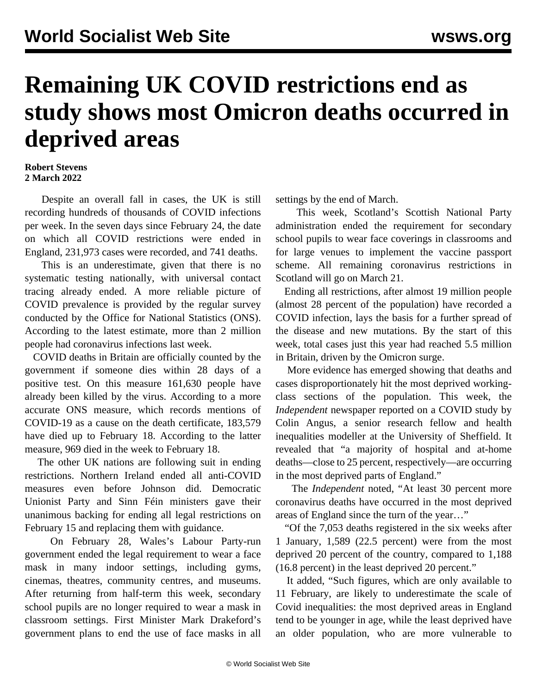## **Remaining UK COVID restrictions end as study shows most Omicron deaths occurred in deprived areas**

## **Robert Stevens 2 March 2022**

 Despite an overall fall in cases, the UK is still recording hundreds of thousands of COVID infections per week. In the seven days since February 24, the date on which all COVID restrictions were ended in England, 231,973 cases were recorded, and 741 deaths.

 This is an underestimate, given that there is no systematic testing nationally, with universal contact tracing already ended. A more reliable picture of COVID prevalence is provided by the regular survey conducted by the Office for National Statistics (ONS). According to the latest estimate, more than 2 million people had coronavirus infections last week.

 COVID deaths in Britain are officially counted by the government if someone dies within 28 days of a positive test. On this measure 161,630 people have already been killed by the virus. According to a more accurate ONS measure, which records mentions of COVID-19 as a cause on the death certificate, 183,579 have died up to February 18. According to the latter measure, 969 died in the week to February 18.

 The other UK nations are following suit in ending restrictions. Northern Ireland ended all anti-COVID measures even before Johnson did. Democratic Unionist Party and Sinn Féin ministers gave their unanimous backing for ending all legal restrictions on February 15 and replacing them with guidance.

 On February 28, Wales's Labour Party-run government ended the legal requirement to wear a face mask in many indoor settings, including gyms, cinemas, theatres, community centres, and museums. After returning from half-term this week, secondary school pupils are no longer required to wear a mask in classroom settings. First Minister Mark Drakeford's government plans to end the use of face masks in all settings by the end of March.

 This week, Scotland's Scottish National Party administration ended the requirement for secondary school pupils to wear face coverings in classrooms and for large venues to implement the vaccine passport scheme. All remaining coronavirus restrictions in Scotland will go on March 21.

 Ending all restrictions, after almost 19 million people (almost 28 percent of the population) have recorded a COVID infection, lays the basis for a further spread of the disease and new mutations. By the start of this week, total cases just this year had reached 5.5 million in Britain, driven by the Omicron surge.

 More evidence has emerged showing that deaths and cases disproportionately hit the most deprived workingclass sections of the population. This week, the *Independent* newspaper reported on a COVID study by Colin Angus, a senior research fellow and health inequalities modeller at the University of Sheffield. It revealed that "a majority of hospital and at-home deaths—close to 25 percent, respectively—are occurring in the most deprived parts of England."

 The *Independent* noted, "At least 30 percent more coronavirus deaths have occurred in the most deprived areas of England since the turn of the year…"

 "Of the 7,053 deaths registered in the six weeks after 1 January, 1,589 (22.5 percent) were from the most deprived 20 percent of the country, compared to 1,188 (16.8 percent) in the least deprived 20 percent."

 It added, "Such figures, which are only available to 11 February, are likely to underestimate the scale of Covid inequalities: the most deprived areas in England tend to be younger in age, while the least deprived have an older population, who are more vulnerable to